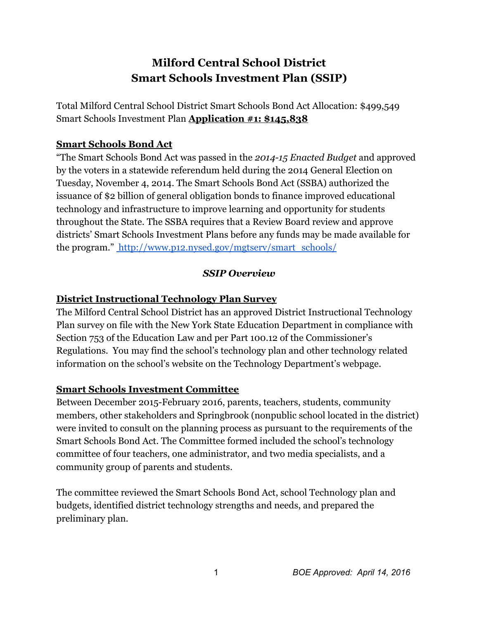# **Milford Central School District Smart Schools Investment Plan (SSIP)**

Total Milford Central School District Smart Schools Bond Act Allocation: \$499,549 Smart Schools Investment Plan **Application #1: \$145,838**

## **Smart Schools Bond Act**

"The Smart Schools Bond Act was passed in the *201415 Enacted Budget* and approved by the voters in a statewide referendum held during the 2014 General Election on Tuesday, November 4, 2014. The Smart Schools Bond Act (SSBA) authorized the issuance of \$2 billion of general obligation bonds to finance improved educational technology and infrastructure to improve learning and opportunity for students throughout the State. The SSBA requires that a Review Board review and approve districts' Smart Schools Investment Plans before any funds may be made available for the program." [http://www.p12.nysed.gov/mgtserv/smart\\_schools/](http://www.p12.nysed.gov/mgtserv/smart_schools/)

#### *SSIP Overview*

## **District Instructional Technology Plan Survey**

The Milford Central School District has an approved District Instructional Technology Plan survey on file with the New York State Education Department in compliance with Section 753 of the Education Law and per Part 100.12 of the Commissioner's Regulations. You may find the school's technology plan and other technology related information on the school's website on the Technology Department's webpage.

## **Smart Schools Investment Committee**

Between December 2015-February 2016, parents, teachers, students, community members, other stakeholders and Springbrook (nonpublic school located in the district) were invited to consult on the planning process as pursuant to the requirements of the Smart Schools Bond Act. The Committee formed included the school's technology committee of four teachers, one administrator, and two media specialists, and a community group of parents and students.

The committee reviewed the Smart Schools Bond Act, school Technology plan and budgets, identified district technology strengths and needs, and prepared the preliminary plan.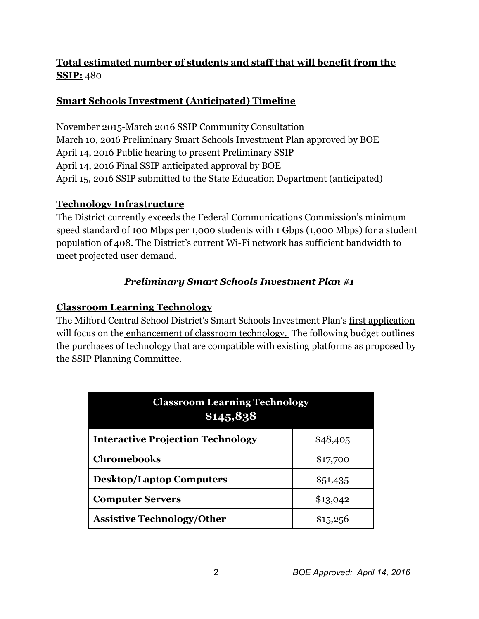## **Total estimated number of students and staff that will benefit from the SSIP:**480

## **Smart Schools Investment (Anticipated) Timeline**

November 2015-March 2016 SSIP Community Consultation March 10, 2016 Preliminary Smart Schools Investment Plan approved by BOE April 14, 2016 Public hearing to present Preliminary SSIP April 14, 2016 Final SSIP anticipated approval by BOE April 15, 2016 SSIP submitted to the State Education Department (anticipated)

## **Technology Infrastructure**

The District currently exceeds the Federal Communications Commission's minimum speed standard of 100 Mbps per 1,000 students with 1 Gbps (1,000 Mbps) for a student population of 408. The District's current Wi-Fi network has sufficient bandwidth to meet projected user demand.

## *Preliminary Smart Schools Investment Plan #1*

## **Classroom Learning Technology**

The Milford Central School District's Smart Schools Investment Plan's first application will focus on the enhancement of classroom technology. The following budget outlines the purchases of technology that are compatible with existing platforms as proposed by the SSIP Planning Committee.

| <b>Classroom Learning Technology</b><br>\$145,838 |          |
|---------------------------------------------------|----------|
| <b>Interactive Projection Technology</b>          | \$48,405 |
| <b>Chromebooks</b>                                | \$17,700 |
| <b>Desktop/Laptop Computers</b>                   | \$51,435 |
| <b>Computer Servers</b>                           | \$13,042 |
| <b>Assistive Technology/Other</b>                 | \$15,256 |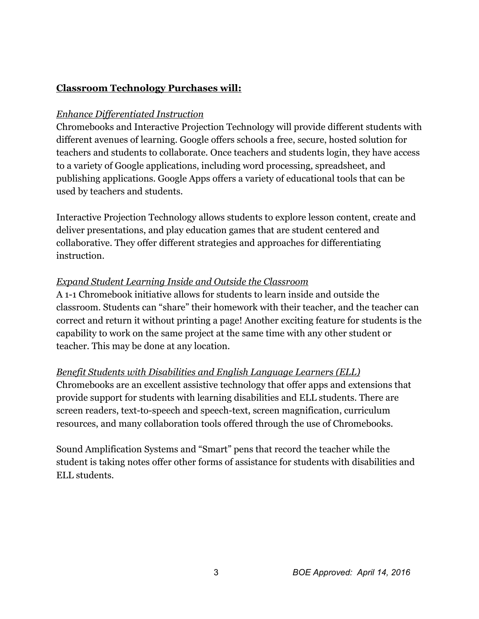#### **Classroom Technology Purchases will:**

#### *Enhance Dif erentiated Instruction*

Chromebooks and Interactive Projection Technology will provide different students with different avenues of learning. Google offers schools a free, secure, hosted solution for teachers and students to collaborate. Once teachers and students login, they have access to a variety of Google applications, including word processing, spreadsheet, and publishing applications. Google Apps offers a variety of educational tools that can be used by teachers and students.

Interactive Projection Technology allows students to explore lesson content, create and deliver presentations, and play education games that are student centered and collaborative. They offer different strategies and approaches for differentiating instruction.

#### *Expand Student Learning Inside and Outside the Classroom*

A 11 Chromebook initiative allows for students to learn inside and outside the classroom. Students can "share" their homework with their teacher, and the teacher can correct and return it without printing a page! Another exciting feature for students is the capability to work on the same project at the same time with any other student or teacher. This may be done at any location.

#### *Benefit Students with Disabilities and English Language Learners (ELL)*

Chromebooks are an excellent assistive technology that offer apps and extensions that provide support for students with learning disabilities and ELL students. There are screen readers, text-to-speech and speech-text, screen magnification, curriculum resources, and many collaboration tools offered through the use of Chromebooks.

Sound Amplification Systems and "Smart" pens that record the teacher while the student is taking notes offer other forms of assistance for students with disabilities and ELL students.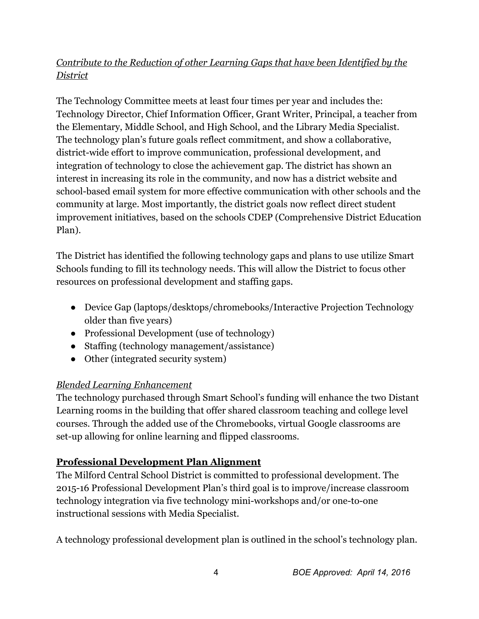## *Contribute to the Reduction of other Learning Gaps that have been Identified by the District*

The Technology Committee meets at least four times per year and includes the: Technology Director, Chief Information Officer, Grant Writer, Principal, a teacher from the Elementary, Middle School, and High School, and the Library Media Specialist. The technology plan's future goals reflect commitment, and show a collaborative, district-wide effort to improve communication, professional development, and integration of technology to close the achievement gap. The district has shown an interest in increasing its role in the community, and now has a district website and school-based email system for more effective communication with other schools and the community at large. Most importantly, the district goals now reflect direct student improvement initiatives, based on the schools CDEP (Comprehensive District Education Plan).

The District has identified the following technology gaps and plans to use utilize Smart Schools funding to fill its technology needs. This will allow the District to focus other resources on professional development and staffing gaps.

- Device Gap (laptops/desktops/chromebooks/Interactive Projection Technology older than five years)
- Professional Development (use of technology)
- Staffing (technology management/assistance)
- Other (integrated security system)

## *Blended Learning Enhancement*

The technology purchased through Smart School's funding will enhance the two Distant Learning rooms in the building that offer shared classroom teaching and college level courses. Through the added use of the Chromebooks, virtual Google classrooms are set-up allowing for online learning and flipped classrooms.

## **Professional Development Plan Alignment**

The Milford Central School District is committed to professional development. The 201516 Professional Development Plan's third goal is to improve/increase classroom technology integration via five technology mini-workshops and/or one-to-one instructional sessions with Media Specialist.

A technology professional development plan is outlined in the school's technology plan.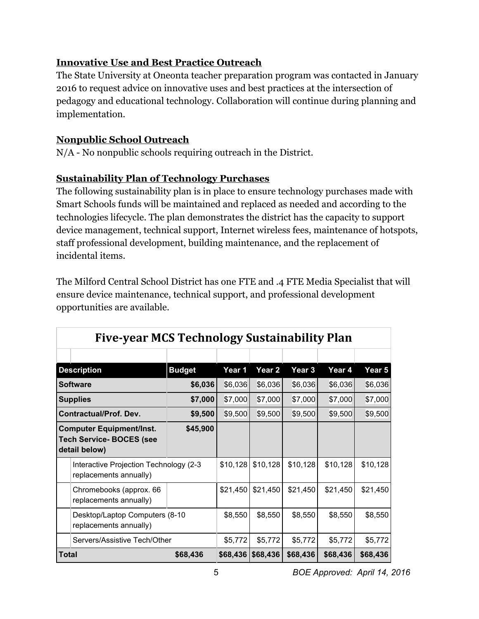## **Innovative Use and Best Practice Outreach**

The State University at Oneonta teacher preparation program was contacted in January 2016 to request advice on innovative uses and best practices at the intersection of pedagogy and educational technology. Collaboration will continue during planning and implementation.

## **Nonpublic School Outreach**

 $N/A$  - No nonpublic schools requiring outreach in the District.

## **Sustainability Plan of Technology Purchases**

The following sustainability plan is in place to ensure technology purchases made with Smart Schools funds will be maintained and replaced as needed and according to the technologies lifecycle. The plan demonstrates the district has the capacity to support device management, technical support, Internet wireless fees, maintenance of hotspots, staff professional development, building maintenance, and the replacement of incidental items.

The Milford Central School District has one FTE and .4 FTE Media Specialist that will ensure device maintenance, technical support, and professional development opportunities are available.

**Fiveyear MCS Technology Sustainability Plan**

| гіус-усаг мез теспполоду зизштарнің тап |                                                                                     |               |          |                   |          |          |          |  |  |
|-----------------------------------------|-------------------------------------------------------------------------------------|---------------|----------|-------------------|----------|----------|----------|--|--|
|                                         |                                                                                     |               |          |                   |          |          |          |  |  |
|                                         | <b>Description</b>                                                                  | <b>Budget</b> | Year 1   | Year <sub>2</sub> | Year 3   | Year 4   | Year 5   |  |  |
|                                         | <b>Software</b>                                                                     | \$6,036       | \$6,036  | \$6,036           | \$6,036  | \$6,036  | \$6,036  |  |  |
|                                         | <b>Supplies</b>                                                                     | \$7,000       | \$7,000  | \$7,000           | \$7,000  | \$7,000  | \$7,000  |  |  |
|                                         | <b>Contractual/Prof. Dev.</b>                                                       | \$9,500       | \$9,500  | \$9,500           | \$9,500  | \$9,500  | \$9,500  |  |  |
|                                         | <b>Computer Equipment/Inst.</b><br><b>Tech Service- BOCES (see</b><br>detail below) | \$45,900      |          |                   |          |          |          |  |  |
|                                         | Interactive Projection Technology (2-3<br>replacements annually)                    |               | \$10,128 | \$10,128          | \$10,128 | \$10,128 | \$10,128 |  |  |
|                                         | Chromebooks (approx. 66<br>replacements annually)                                   |               | \$21,450 | \$21,450          | \$21,450 | \$21,450 | \$21,450 |  |  |
|                                         | Desktop/Laptop Computers (8-10<br>replacements annually)                            |               | \$8,550  | \$8,550           | \$8,550  | \$8,550  | \$8,550  |  |  |
|                                         | Servers/Assistive Tech/Other                                                        |               | \$5,772  | \$5,772           | \$5,772  | \$5,772  | \$5,772  |  |  |
| Total                                   |                                                                                     | \$68,436      | \$68,436 | \$68,436          | \$68,436 | \$68,436 | \$68,436 |  |  |